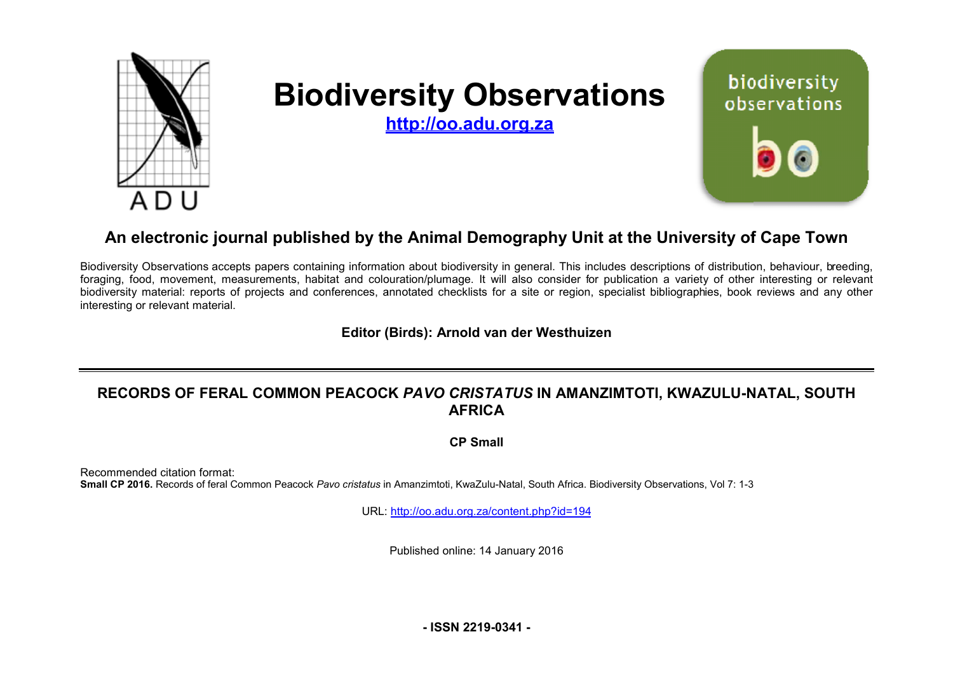

# **Biodiversity Observations**

biodiversity observations

**<http://oo.adu.org.za>**

## An electronic journal published by the Animal Demography Unit at the University of Cape Town

Biodiversity Observations accepts papers containing information about biodiversity in general. This includes descriptions of distribution, behaviour, b breeding, foraging, food, movement, measurements, habitat and colouration/plumage. It will also consider for publication a variety of other interesting or relevant foraging, food, movement, measurements, habitat and colouration/plumage. It will also consider for publication a variety of other interesting or relevant<br>biodiversity material: reports of projects and conferences, annotate interesting or relevant material.

**Editor (Birds) (Birds): Arnold van der Westhuizen** 

### RECORDS OF FERAL COMMON PEACOCK *PAVO CRISTATUS* IN AMANZIMTOTI, KWAZULU-NATAL, SOUTH **AFRICA**

**CP Small** 

Recommended citation format: Small CP 2016. Records of feral Common Peacock Pavo cristatus in Amanzimtoti, KwaZulu-Natal, South Africa. Biodiversity Observations, Vol 7: 1-3

URL: <http://oo.adu.org.za/content.php?id=194>

Published online: 14 January 2016

**- ISSN 2219-0341 -**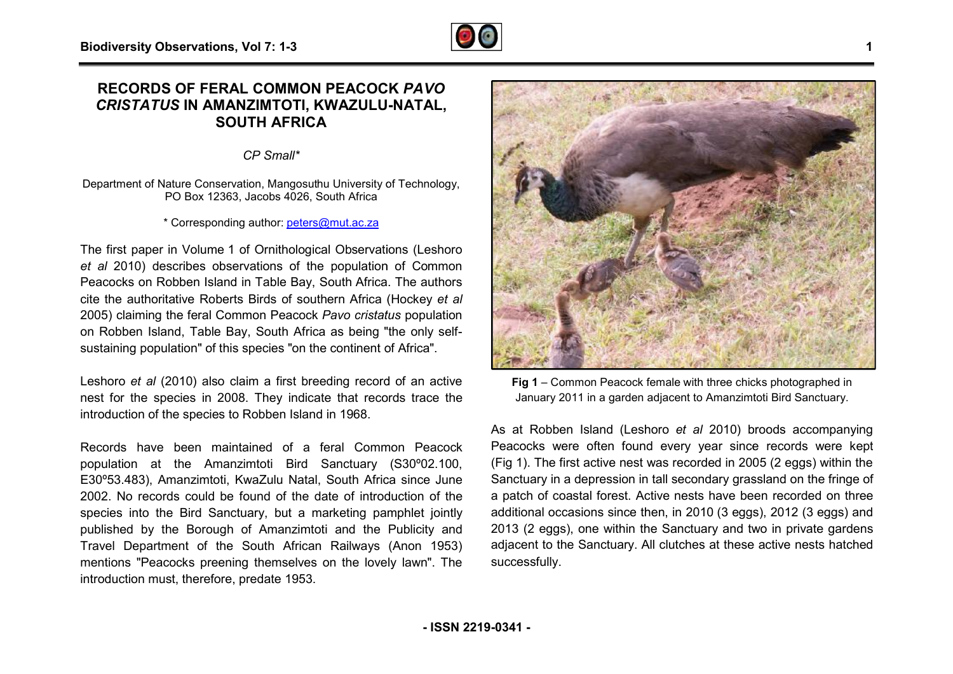#### **RECORDS OF FERAL COMMON PEACOCK OCK** *PAVO CRISTATUS* **IN AMANZIMTOTI, KWAZULU KWAZULU-NATAL, SOUTH AFRICA**

*CP Small\**

Department of Nature Conservation, Mangosuthu University of Technology, PO Box 12363, Jacobs 4026. South Africa

\* Corresponding author: [peters@mut.ac.za](mailto:peters@mut.ac.za)

The first paper in Volume 1 of Ornithological Observations (Leshoro The first paper in Volume 1 of Ornithological Observations (Leshoro et al 2010) describes observations of the population of Common Peacocks on Robben Island in Table Bay, South Africa. The authors cite the authoritative Roberts Birds of southern Africa (Hockey et al 2005) claiming the feral Common Peacock *Pavo cristatus* population on Robben Island, Table Bay, South Africa as being " "the only selfsustaining population" of this species "on the continent of Africa".

Leshoro *et al* (2010) also claim a first breeding record of an active nest for the species in 2008. They indicate that records trace the introduction of the species to Robben Island in 1968.

Records have been maintained of a feral Common Peacock population at the Amanzimtoti Bird Sanctuary (S30°02.100, E30º53.483), Amanzimtoti, KwaZulu Natal, South Africa since June 2002. No records could be found of the date of introduction of the species into the Bird Sanctuary, but a marketing pamphlet jointly published by the Borough of Amanzimtoti and the Publicity and Travel Department of the South African Railways mentions "Peacocks preening themselves on the lovely lawn". The introduction must, therefore, predate 1953. 483), Amanzimtoti, KwaZulu Natal, South Africa since June<br>o records could be found of the date of introduction of the<br>into the Bird Sanctuary, but a marketing pamphlet jointly<br>d by the Borough of Amanzimtoti and the Public



**Fig 1** – Common Peacock female with three chicks photographed in January 2011 in a garden adjacent to Amanzimtoti Bird Sanctuary.

As at Robben Island (Leshoro *et al* 2010) broods accompanying Peacocks were often found every year since records were kept (Fig 1). The first active nest was recorded in 2005 (2 eggs) within the Sanctuary in a depression in tall secondary grassland on the fringe of a patch of coastal forest. Active nests have been recorded on three additional occasions since then, in 2010 (3 eggs), 2012 (3 eggs) and 2013 (2 eggs), one within the Sanctuary and two in private gardens ,adjacent to the Sanctuary. All clutches at these active nests hatched successfully. 010) broods accompanying<br>ar since records were kept<br>d in 2005 (2 eggs) within the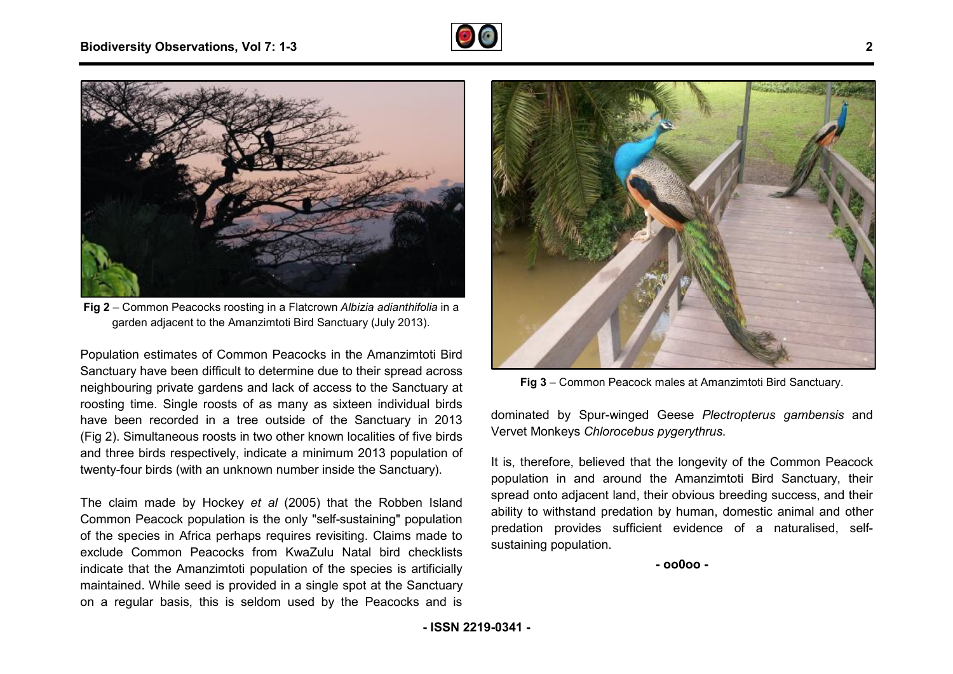



**Fig 2** – Common Peacocks roosting in a Flatcrown *Albizia adianthifolia a* in a garden adjacent to the Amanzimtoti Bird Sanctuary (July July 2013).

Population estimates of Common Peacocks in the Amanzimtoti Bird Sanctuary have been difficult to determine due to their spread across neighbouring private gardens and lack of access to the Sanctuary at roosting time. Single roosts of as many as sixteen individual birds have been recorded in a tree outside of the Sanctuary in 2013 (Fig 2). Simultaneous roosts in two other known localities of five birds and three birds respectively, indicate a minimum 2013 population of twenty-four birds (with an unknown number inside the Sanctuary een recorded in a tree outside of the Sanctuary in 20<br>Simultaneous roosts in two other known localities of five bi<br>ee birds respectively, indicate a minimum 2013 populatior<br>four birds (with an unknown number inside the San

The claim made by Hockey *et al* (2005) that the Robben Island Common Peacock population is the only "self-sustaining" population of the species in Africa perhaps requires revisiting. Claims made to exclude Common Peacocks from KwaZulu Natal bird checklists indicate that the Amanzimtoti population of the species is artificially maintained. While seed is provided in a single spot at the Sanctuary on a regular basis, this is seldom used by the Peacocks equires revisiting. Claims made to<br>m KwaZulu Natal bird checklists<br>ulation of the species is artificially<br>d in a single spot at the Sanctuary<br>m used by the Peacocks and is



Fig 3 – Common Peacock males at Amanzimtoti Bird Sanctuary.

dominated by Spur-winged Geese *Plectropterus gambensis* and Vervet Monkeys *Chlorocebus pygerythrus*.

It is, therefore, believed that the longevity of the Common Peacock population in and around the Amanzimtoti Bird Sanctuar Sanctuary, their spread onto adjacent land, their obvious breeding success, and their ability to withstand predation by human, domestic animal and other predation provides sufficient evidence of a naturalised, selfsustaining population.

**- oo0oo -** 

**- ISSN 2219-0341 -**